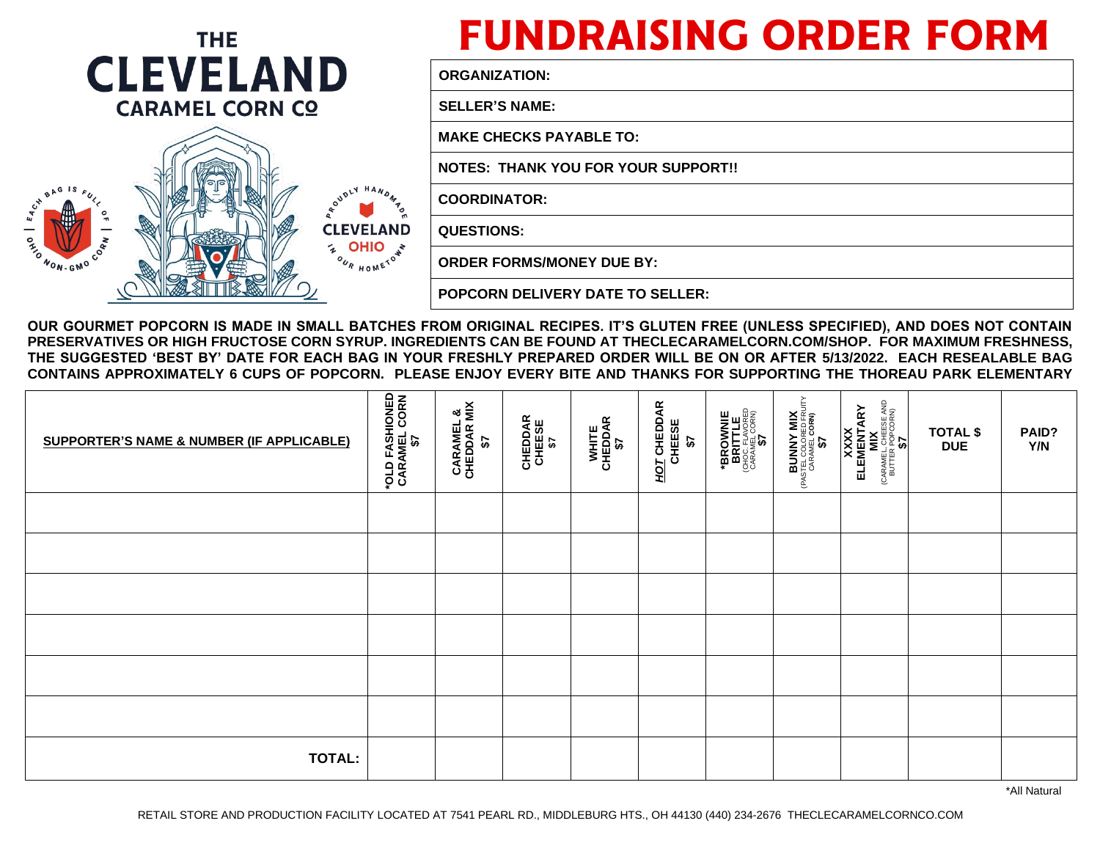

## **FUNDRAISING ORDER FORM**

**ORGANIZATION:**

**SELLER'S NAME:** 

**MAKE CHECKS PAYABLE TO:** 

**NOTES: THANK YOU FOR YOUR SUPPORT!!**

**COORDINATOR:** 

**QUESTIONS:** 

 **ORDER FORMS/MONEY DUE BY:** 

**POPCORN DELIVERY DATE TO SELLER:** 

**OUR GOURMET POPCORN IS MADE IN SMALL BATCHES FROM ORIGINAL RECIPES. IT'S GLUTEN FREE (UNLESS SPECIFIED), AND DOES NOT CONTAIN PRESERVATIVES OR HIGH FRUCTOSE CORN SYRUP. INGREDIENTS CAN BE FOUND AT THECLECARAMELCORN.COM/SHOP. FOR MAXIMUM FRESHNESS, THE SUGGESTED 'BEST BY' DATE FOR EACH BAG IN YOUR FRESHLY PREPARED ORDER WILL BE ON OR AFTER 5/13/2022. EACH RESEALABLE BAG CONTAINS APPROXIMATELY 6 CUPS OF POPCORN. PLEASE ENJOY EVERY BITE AND THANKS FOR SUPPORTING THE THOREAU PARK ELEMENTARY**

| <b>SUPPORTER'S NAME &amp; NUMBER (IF APPLICABLE)</b> | <b>"OLD FASHIONED<br/>CARAMEL CORN<br/>CARAMEL CORN</b> | ื้<br><b>CARAMEL</b><br>CHEDDAR M<br>$\boldsymbol{\mathfrak{F}}$ | <b>CHEDDAR</b><br>CHEESE<br>\$7 | WHITE<br>CHEDDAR<br>\$7 | HOT CHEDDAR<br>CHEESE<br>$\boldsymbol{\tilde{u}}$ | <b>*BROWNIE<br/>BRITTLE</b><br>GHOC FLAVORED<br>CARAMEL CORN)<br>CARAMEL CORN) | <b>BUNNY MIX</b><br>(PASTEL COLORED FRUITY<br>CARAMEL CORN)<br>CARAMEL CORN) | $\begin{array}{c} \textbf{KXXX} \\ \textbf{ELEMENTARY} \\ \textbf{(CARAMEL OHEES AND} \\ \textbf{(DHTER POORN)} \\ \textbf{BUTTER POPOORN)} \end{array}$ | <b>TOTAL \$</b><br><b>DUE</b> | PAID?<br>Y/N |
|------------------------------------------------------|---------------------------------------------------------|------------------------------------------------------------------|---------------------------------|-------------------------|---------------------------------------------------|--------------------------------------------------------------------------------|------------------------------------------------------------------------------|----------------------------------------------------------------------------------------------------------------------------------------------------------|-------------------------------|--------------|
|                                                      |                                                         |                                                                  |                                 |                         |                                                   |                                                                                |                                                                              |                                                                                                                                                          |                               |              |
|                                                      |                                                         |                                                                  |                                 |                         |                                                   |                                                                                |                                                                              |                                                                                                                                                          |                               |              |
|                                                      |                                                         |                                                                  |                                 |                         |                                                   |                                                                                |                                                                              |                                                                                                                                                          |                               |              |
|                                                      |                                                         |                                                                  |                                 |                         |                                                   |                                                                                |                                                                              |                                                                                                                                                          |                               |              |
|                                                      |                                                         |                                                                  |                                 |                         |                                                   |                                                                                |                                                                              |                                                                                                                                                          |                               |              |
|                                                      |                                                         |                                                                  |                                 |                         |                                                   |                                                                                |                                                                              |                                                                                                                                                          |                               |              |
| <b>TOTAL:</b>                                        |                                                         |                                                                  |                                 |                         |                                                   |                                                                                |                                                                              |                                                                                                                                                          |                               |              |

\*All Natural